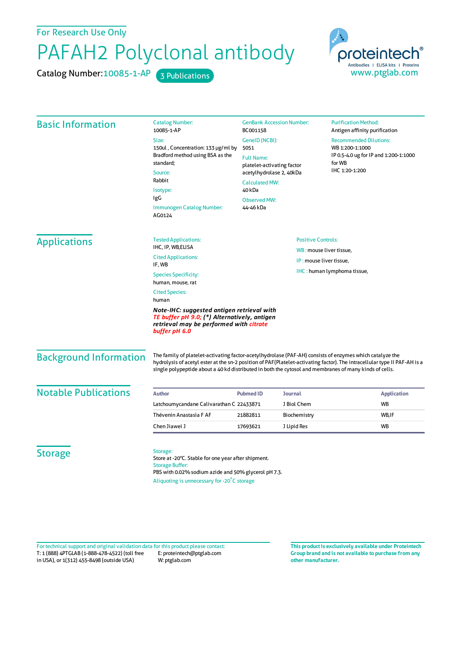## For Research Use Only

## PAFAH2 Polyclonal antibody

Catalog Number: 10085-1-AP 3 Publications



| <b>Basic Information</b>                                                                                                                                                                 | <b>Catalog Number:</b><br>10085-1-AP                                                                                                                                                             | <b>GenBank Accession Number:</b><br>BC001158<br>GeneID (NCBI):<br>5051<br><b>Full Name:</b> |                             | <b>Purification Method:</b><br>Antigen affinity purification                                        |
|------------------------------------------------------------------------------------------------------------------------------------------------------------------------------------------|--------------------------------------------------------------------------------------------------------------------------------------------------------------------------------------------------|---------------------------------------------------------------------------------------------|-----------------------------|-----------------------------------------------------------------------------------------------------|
|                                                                                                                                                                                          | Size:                                                                                                                                                                                            |                                                                                             |                             | <b>Recommended Dilutions:</b><br>WB 1:200-1:1000<br>IP 0.5-4.0 ug for IP and 1:200-1:1000<br>for WB |
|                                                                                                                                                                                          | 150ul, Concentration: 133 µg/ml by<br>Bradford method using BSA as the<br>standard;<br>Source:<br>Rabbit<br>Isotype:<br>IgG<br>Immunogen Catalog Number:<br>AG0124                               |                                                                                             |                             |                                                                                                     |
|                                                                                                                                                                                          |                                                                                                                                                                                                  |                                                                                             |                             |                                                                                                     |
|                                                                                                                                                                                          |                                                                                                                                                                                                  | <b>Calculated MW:</b>                                                                       |                             |                                                                                                     |
|                                                                                                                                                                                          |                                                                                                                                                                                                  | 40 kDa                                                                                      |                             |                                                                                                     |
|                                                                                                                                                                                          |                                                                                                                                                                                                  | <b>Observed MW:</b>                                                                         |                             |                                                                                                     |
|                                                                                                                                                                                          |                                                                                                                                                                                                  | 44-46 kDa                                                                                   |                             |                                                                                                     |
|                                                                                                                                                                                          |                                                                                                                                                                                                  | <b>Applications</b>                                                                         | <b>Tested Applications:</b> | <b>Positive Controls:</b><br>WB: mouse liver tissue,                                                |
| IHC, IP, WB, ELISA                                                                                                                                                                       |                                                                                                                                                                                                  |                                                                                             |                             |                                                                                                     |
| <b>Cited Applications:</b><br>IF, WB                                                                                                                                                     |                                                                                                                                                                                                  |                                                                                             | IP: mouse liver tissue,     |                                                                                                     |
| <b>Species Specificity:</b><br>human, mouse, rat                                                                                                                                         | IHC: human lymphoma tissue,                                                                                                                                                                      |                                                                                             |                             |                                                                                                     |
| <b>Cited Species:</b><br>human<br>Note-IHC: suggested antigen retrieval with<br>TE buffer pH 9.0; (*) Alternatively, antigen<br>retrieval may be performed with citrate<br>buffer pH 6.0 |                                                                                                                                                                                                  |                                                                                             |                             |                                                                                                     |
|                                                                                                                                                                                          |                                                                                                                                                                                                  |                                                                                             |                             | <b>Background Information</b>                                                                       |
| <b>Notable Publications</b>                                                                                                                                                              | <b>Author</b>                                                                                                                                                                                    | <b>Pubmed ID</b>                                                                            | <b>Journal</b>              | <b>Application</b>                                                                                  |
|                                                                                                                                                                                          | Latchoumycandane Calivarathan C 22433871                                                                                                                                                         |                                                                                             | J Biol Chem                 | <b>WB</b>                                                                                           |
|                                                                                                                                                                                          | Thévenin Anastasia F AF                                                                                                                                                                          | 21882811                                                                                    | Biochemistry                | WB,IF                                                                                               |
|                                                                                                                                                                                          | Chen Jiawei J                                                                                                                                                                                    | 17693621                                                                                    | J Lipid Res                 | WB                                                                                                  |
| <b>Storage</b>                                                                                                                                                                           | Storage:<br>Store at -20°C. Stable for one year after shipment.<br><b>Storage Buffer:</b><br>PBS with 0.02% sodium azide and 50% glycerol pH 7.3.<br>Aliquoting is unnecessary for -20°C storage |                                                                                             |                             |                                                                                                     |

T: 1 (888) 4PTGLAB (1-888-478-4522) (toll free in USA), or 1(312) 455-8498 (outside USA) E: proteintech@ptglab.com W: ptglab.com Fortechnical support and original validation data forthis product please contact: **This productis exclusively available under Proteintech**

**Group brand and is not available to purchase from any other manufacturer.**